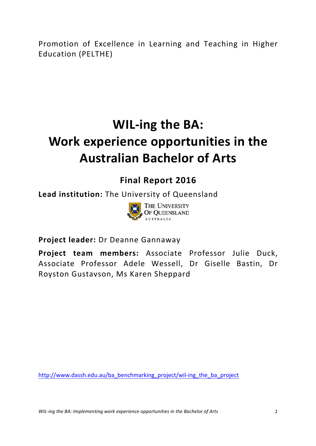Promotion of Excellence in Learning and Teaching in Higher Education (PELTHE)

# **WIL-ing the BA: Work experience opportunities in the Australian Bachelor of Arts**

### **Final Report 2016**

**Lead institution:** The University of Queensland



**Project leader:** Dr Deanne Gannaway

Project team members: Associate Professor Julie Duck, Associate Professor Adele Wessell, Dr Giselle Bastin, Dr Royston Gustavson, Ms Karen Sheppard

http://www.dassh.edu.au/ba\_benchmarking\_project/wil-ing\_the\_ba\_project

*WIL-ing the BA: Implementing work experience opportunities in the Bachelor of Arts* **1**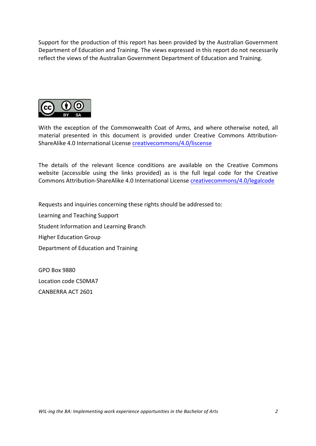Support for the production of this report has been provided by the Australian Government Department of Education and Training. The views expressed in this report do not necessarily reflect the views of the Australian Government Department of Education and Training.



With the exception of the Commonwealth Coat of Arms, and where otherwise noted, all material presented in this document is provided under Creative Commons Attribution-ShareAlike 4.0 International License creativecommons/4.0/liscense

The details of the relevant licence conditions are available on the Creative Commons website (accessible using the links provided) as is the full legal code for the Creative Commons Attribution-ShareAlike 4.0 International License creativecommons/4.0/legalcode

Requests and inquiries concerning these rights should be addressed to:

Learning and Teaching Support Student Information and Learning Branch Higher Education Group Department of Education and Training

GPO Box 9880 Location code C50MA7 CANBERRA ACT 2601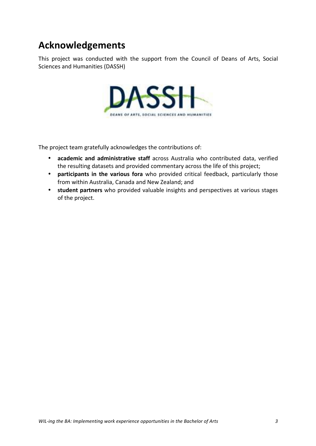## **Acknowledgements**

This project was conducted with the support from the Council of Deans of Arts, Social Sciences and Humanities (DASSH)



The project team gratefully acknowledges the contributions of:

- **academic and administrative staff** across Australia who contributed data, verified the resulting datasets and provided commentary across the life of this project;
- **participants in the various fora** who provided critical feedback, particularly those from within Australia, Canada and New Zealand; and
- student partners who provided valuable insights and perspectives at various stages of the project.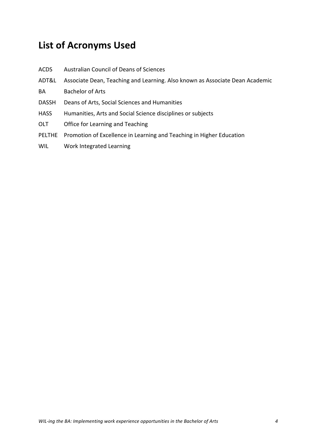# **List of Acronyms Used**

| <b>ACDS</b>  | <b>Australian Council of Deans of Sciences</b>                               |
|--------------|------------------------------------------------------------------------------|
| ADT&L        | Associate Dean, Teaching and Learning. Also known as Associate Dean Academic |
| BA           | <b>Bachelor of Arts</b>                                                      |
| <b>DASSH</b> | Deans of Arts, Social Sciences and Humanities                                |
| <b>HASS</b>  | Humanities, Arts and Social Science disciplines or subjects                  |
| <b>OLT</b>   | Office for Learning and Teaching                                             |
| PELTHE       | Promotion of Excellence in Learning and Teaching in Higher Education         |
| <b>WIL</b>   | Work Integrated Learning                                                     |
|              |                                                                              |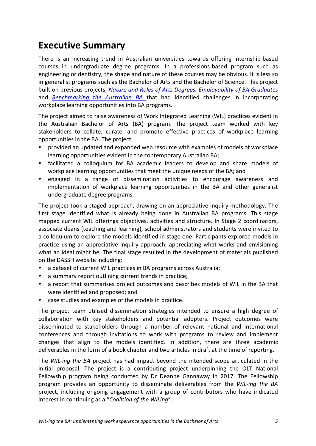## **Executive Summary**

There is an increasing trend in Australian universities towards offering internship-based courses in undergraduate degree programs. In a professions-based program such as engineering or dentistry, the shape and nature of these courses mav be obvious. It is less so in generalist programs such as the Bachelor of Arts and the Bachelor of Science. This project built on previous projects, *Nature and Roles of Arts Degrees, Employability of BA Graduates* and *Benchmarking the Australian BA* that had identified challenges in incorporating workplace learning opportunities into BA programs.

The project aimed to raise awareness of Work Integrated Learning (WIL) practices evident in the Australian Bachelor of Arts (BA) program. The project team worked with key stakeholders to collate, curate, and promote effective practices of workplace learning opportunities in the BA. The project:

- provided an updated and expanded web resource with examples of models of workplace learning opportunities evident in the contemporary Australian BA;
- facilitated a colloquium for BA academic leaders to develop and share models of workplace learning opportunities that meet the unique needs of the BA; and
- engaged in a range of dissemination activities to encourage awareness and implementation of workplace learning opportunities in the BA and other generalist undergraduate degree programs.

The project took a staged approach, drawing on an appreciative inquiry methodology. The first stage identified what is already being done in Australian BA programs. This stage mapped current WIL offerings objectives, activities and structure. In Stage 2 coordinators, associate deans (teaching and learning), school administrators and students were invited to a colloquium to explore the models identified in stage one. Participants explored models in practice using an appreciative inquiry approach, appreciating what works and envisioning what an ideal might be. The final stage resulted in the development of materials published on the DASSH website including:

- a dataset of current WIL practices in BA programs across Australia;
- a summary report outlining current trends in practice;
- a report that summarises project outcomes and describes models of WIL in the BA that were identified and proposed; and
- case studies and examples of the models in practice.

The project team utilised dissemination strategies intended to ensure a high degree of collaboration with key stakeholders and potential adopters. Project outcomes were disseminated to stakeholders through a number of relevant national and international conferences and through invitations to work with programs to review and implement changes that align to the models identified. In addition, there are three academic deliverables in the form of a book chapter and two articles in draft at the time of reporting.

The *WIL-ing the BA* project has had impact beyond the intended scope articulated in the initial proposal. The project is a contributing project underpinning the OLT National Fellowship program being conducted by Dr Deanne Gannaway in 2017. The Fellowship program provides an opportunity to disseminate deliverables from the *WIL-ing the BA* project, including ongoing engagement with a group of contributors who have indicated interest in continuing as a "Coalition of the WILing".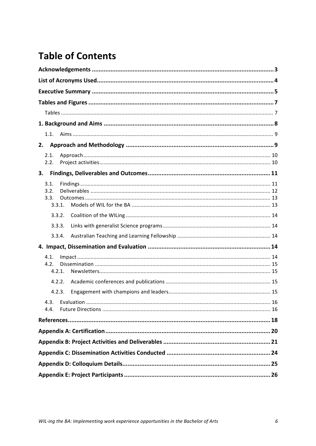## **Table of Contents**

| 1.1.           |  |  |  |
|----------------|--|--|--|
| 2.             |  |  |  |
| 2.1.           |  |  |  |
| 2.2.           |  |  |  |
| 3.             |  |  |  |
| 3.1.           |  |  |  |
| 3.2.<br>3.3.   |  |  |  |
| 3.3.1.         |  |  |  |
| 3.3.2.         |  |  |  |
| 3.3.3.         |  |  |  |
| 3.3.4.         |  |  |  |
|                |  |  |  |
| 4.1.           |  |  |  |
| 4.2.<br>4.2.1. |  |  |  |
| 4.2.2.         |  |  |  |
| 4.2.3.         |  |  |  |
|                |  |  |  |
| 4.4.           |  |  |  |
|                |  |  |  |
|                |  |  |  |
|                |  |  |  |
|                |  |  |  |
|                |  |  |  |
|                |  |  |  |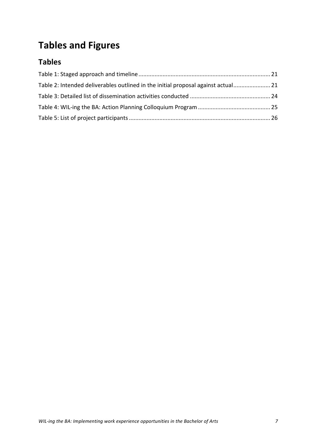# **Tables and Figures**

### **Tables**

| Table 2: Intended deliverables outlined in the initial proposal against actual 21 |  |
|-----------------------------------------------------------------------------------|--|
|                                                                                   |  |
|                                                                                   |  |
|                                                                                   |  |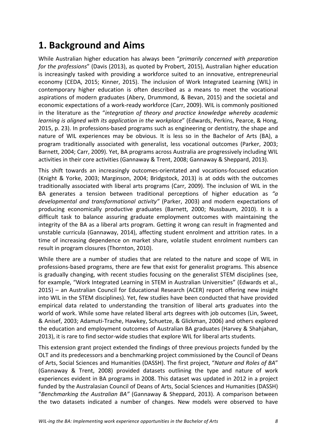## **1. Background and Aims**

While Australian higher education has always been "primarily concerned with preparation *for the professions"* (Davis (2013), as quoted by Probert, 2015), Australian higher education is increasingly tasked with providing a workforce suited to an innovative, entrepreneurial economy (CEDA, 2015; Kinner, 2015). The inclusion of Work Integrated Learning (WIL) in contemporary higher education is often described as a means to meet the vocational aspirations of modern graduates (Abery, Drummond, & Bevan, 2015) and the societal and economic expectations of a work-ready workforce (Carr, 2009). WIL is commonly positioned in the literature as the "*integration of theory and practice knowledge whereby academic learning is aligned with its application in the workplace"* (Edwards, Perkins, Pearce, & Hong, 2015, p. 23). In professions-based programs such as engineering or dentistry, the shape and nature of WIL experiences may be obvious. It is less so in the Bachelor of Arts (BA), a program traditionally associated with generalist, less vocational outcomes (Parker, 2003; Barnett, 2004; Carr, 2009). Yet, BA programs across Australia are progressively including WIL activities in their core activities (Gannaway & Trent, 2008; Gannaway & Sheppard, 2013).

This shift towards an increasingly outcomes-orientated and vocations-focused education (Knight & Yorke, 2003; Marginson, 2004; Bridgstock, 2013) is at odds with the outcomes traditionally associated with liberal arts programs (Carr, 2009). The inclusion of WIL in the BA generates a tension between traditional perceptions of higher education as "a developmental and transformational activity" (Parker, 2003) and modern expectations of producing economically productive graduates (Barnett, 2000; Nussbaum, 2010). It is a difficult task to balance assuring graduate employment outcomes with maintaining the integrity of the BA as a liberal arts program. Getting it wrong can result in fragmented and unstable curricula (Gannaway, 2014), affecting student enrolment and attrition rates. In a time of increasing dependence on market share, volatile student enrolment numbers can result in program closures (Thornton, 2010).

While there are a number of studies that are related to the nature and scope of WIL in professions-based programs, there are few that exist for generalist programs. This absence is gradually changing, with recent studies focusing on the generalist STEM disciplines (see, for example, "Work Integrated Learning in STEM in Australian Universities" (Edwards et al.,  $2015$ ) – an Australian Council for Educational Research (ACER) report offering new insight into WIL in the STEM disciplines). Yet, few studies have been conducted that have provided empirical data related to understanding the transition of liberal arts graduates into the world of work. While some have related liberal arts degrees with job outcomes (Lin, Sweet, & Anisef, 2003; Adamuti-Trache, Hawkey, Schuetze, & Glickman, 2006) and others explored the education and employment outcomes of Australian BA graduates (Harvey & Shahjahan, 2013), it is rare to find sector-wide studies that explore WIL for liberal arts students.

This extension grant project extended the findings of three previous projects funded by the OLT and its predecessors and a benchmarking project commissioned by the Council of Deans of Arts, Social Sciences and Humanities (DASSH). The first project, "Nature and Roles of BA" (Gannaway & Trent, 2008) provided datasets outlining the type and nature of work experiences evident in BA programs in 2008. This dataset was updated in 2012 in a project funded by the Australasian Council of Deans of Arts, Social Sciences and Humanities (DASSH) "Benchmarking the Australian BA" (Gannaway & Sheppard, 2013). A comparison between the two datasets indicated a number of changes. New models were observed to have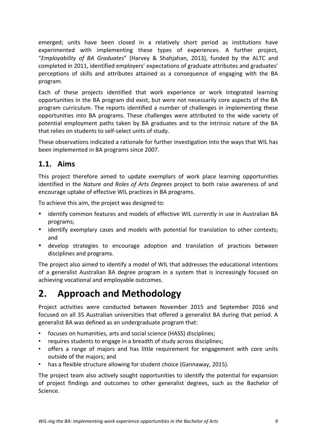emerged; units have been closed in a relatively short period as institutions have experimented with implementing these types of experiences. A further project, "*Employability of BA Graduates*" (Harvey & Shahjahan, 2013), funded by the ALTC and completed in 2011, identified employers' expectations of graduate attributes and graduates' perceptions of skills and attributes attained as a consequence of engaging with the BA program. 

Each of these projects identified that work experience or work integrated learning opportunities in the BA program did exist, but were not necessarily core aspects of the BA program curriculum. The reports identified a number of challenges in implementing these opportunities into BA programs. These challenges were attributed to the wide variety of potential employment paths taken by BA graduates and to the intrinsic nature of the BA that relies on students to self-select units of study.

These observations indicated a rationale for further investigation into the ways that WIL has been implemented in BA programs since 2007.

#### **1.1. Aims**

This project therefore aimed to update exemplars of work place learning opportunities identified in the *Nature and Roles of Arts Degrees* project to both raise awareness of and encourage uptake of effective WIL practices in BA programs.

To achieve this aim, the project was designed to:

- identify common features and models of effective WIL currently in use in Australian BA programs;
- identify exemplary cases and models with potential for translation to other contexts; and
- develop strategies to encourage adoption and translation of practices between disciplines and programs.

The project also aimed to identify a model of WIL that addresses the educational intentions of a generalist Australian BA degree program in a system that is increasingly focused on achieving vocational and employable outcomes.

## **2. Approach and Methodology**

Project activities were conducted between November 2015 and September 2016 and focused on all 35 Australian universities that offered a generalist BA during that period. A generalist BA was defined as an undergraduate program that:

- focuses on humanities, arts and social science (HASS) disciplines;
- requires students to engage in a breadth of study across disciplines;
- offers a range of majors and has little requirement for engagement with core units outside of the majors; and
- has a flexible structure allowing for student choice (Gannaway, 2015).

The project team also actively sought opportunities to identify the potential for expansion of project findings and outcomes to other generalist degrees, such as the Bachelor of Science.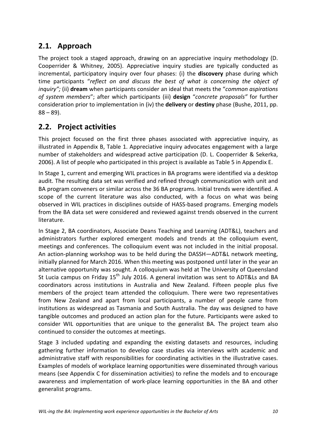### **2.1. Approach**

The project took a staged approach, drawing on an appreciative inquiry methodology (D. Cooperrider & Whitney, 2005). Appreciative inquiry studies are typically conducted as incremental, participatory inquiry over four phases: (i) the **discovery** phase during which time participants "reflect on and discuss the best of what is concerning the object of *inquiry";* (ii) **dream** when participants consider an ideal that meets the "*common aspirations* of system members"; after which participants (iii) **design** "concrete proposals" for further consideration prior to implementation in (iv) the **delivery** or **destiny** phase (Bushe, 2011, pp.  $88 - 89$ ).

### **2.2.** Project activities

This project focused on the first three phases associated with appreciative inquiry, as illustrated in Appendix B, Table 1. Appreciative inquiry advocates engagement with a large number of stakeholders and widespread active participation (D. L. Cooperrider & Sekerka, 2006). A list of people who participated in this project is available as Table 5 in Appendix E.

In Stage 1, current and emerging WIL practices in BA programs were identified via a desktop audit. The resulting data set was verified and refined through communication with unit and BA program conveners or similar across the 36 BA programs. Initial trends were identified. A scope of the current literature was also conducted, with a focus on what was being observed in WIL practices in disciplines outside of HASS-based programs. Emerging models from the BA data set were considered and reviewed against trends observed in the current literature. 

In Stage 2, BA coordinators, Associate Deans Teaching and Learning (ADT&L), teachers and administrators further explored emergent models and trends at the colloquium event, meetings and conferences. The colloquium event was not included in the initial proposal. An action-planning workshop was to be held during the DASSH-ADT&L network meeting, initially planned for March 2016. When this meeting was postponed until later in the year an alternative opportunity was sought. A colloquium was held at The University of Queensland St Lucia campus on Friday  $15<sup>th</sup>$  July 2016. A general invitation was sent to ADT&Ls and BA coordinators across institutions in Australia and New Zealand. Fifteen people plus five members of the project team attended the colloquium. There were two representatives from New Zealand and apart from local participants, a number of people came from institutions as widespread as Tasmania and South Australia. The day was designed to have tangible outcomes and produced an action plan for the future. Participants were asked to consider WIL opportunities that are unique to the generalist BA. The project team also continued to consider the outcomes at meetings.

Stage 3 included updating and expanding the existing datasets and resources, including gathering further information to develop case studies via interviews with academic and administrative staff with responsibilities for coordinating activities in the illustrative cases. Examples of models of workplace learning opportunities were disseminated through various means (see Appendix C for dissemination activities) to refine the models and to encourage awareness and implementation of work-place learning opportunities in the BA and other generalist programs.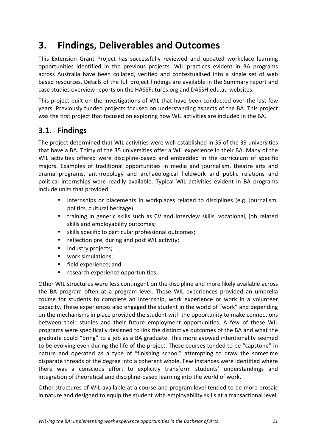## **3. Findings, Deliverables and Outcomes**

This Extension Grant Project has successfully reviewed and updated workplace learning opportunities identified in the previous projects. WIL practices evident in BA programs across Australia have been collated, verified and contextualised into a single set of web based resources. Details of the full project findings are available in the Summary report and case studies overview reports on the HASSFutures.org and DASSH.edu.au websites.

This project built on the investigations of WIL that have been conducted over the last few years. Previously funded projects focused on understanding aspects of the BA. This project was the first project that focused on exploring how WIL activities are included in the BA.

### **3.1. Findings**

The project determined that WIL activities were well established in 35 of the 39 universities that have a BA. Thirty of the 35 universities offer a WIL experience in their BA. Many of the WIL activities offered were discipline-based and embedded in the curriculum of specific majors. Examples of traditional opportunities in media and journalism, theatre arts and drama programs, anthropology and archaeological fieldwork and public relations and political internships were readily available. Typical WIL activities evident in BA programs include units that provided:

- internships or placements in workplaces related to disciplines (e.g. journalism, politics, cultural heritage)
- training in generic skills such as CV and interview skills, vocational, job related skills and employability outcomes;
- skills specific to particular professional outcomes;
- reflection pre, during and post WIL activity;
- industry projects;
- work simulations;
- field experience: and
- research experience opportunities.

Other WIL structures were less contingent on the discipline and more likely available across the BA program often at a program level. These WIL experiences provided an umbrella course for students to complete an internship, work experience or work in a volunteer capacity. These experiences also engaged the student in the world of "work" and depending on the mechanisms in place provided the student with the opportunity to make connections between their studies and their future employment opportunities. A few of these WIL programs were specifically designed to link the distinctive outcomes of the BA and what the graduate could "bring" to a job as a BA graduate. This more avowed intentionality seemed to be evolving even during the life of the project. These courses tended to be "capstone" in nature and operated as a type of "finishing school" attempting to draw the sometime disparate threads of the degree into a coherent whole. Few instances were identified where there was a conscious effort to explicitly transform students' understandings and integration of theoretical and discipline-based learning into the world of work.

Other structures of WIL available at a course and program level tended to be more prosaic in nature and designed to equip the student with employability skills at a transactional level.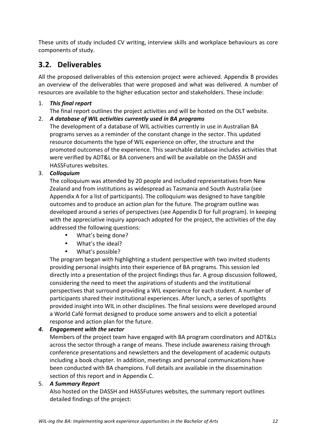These units of study included CV writing, interview skills and workplace behaviours as core components of study.

### **3.2. Deliverables**

All the proposed deliverables of this extension project were achieved. Appendix B provides an overview of the deliverables that were proposed and what was delivered. A number of resources are available to the higher education sector and stakeholders. These include:

#### 1. This final report

The final report outlines the project activities and will be hosted on the OLT website.

#### 2. A database of WIL activities currently used in BA programs

The development of a database of WIL activities currently in use in Australian BA programs serves as a reminder of the constant change in the sector. This updated resource documents the type of WIL experience on offer, the structure and the promoted outcomes of the experience. This searchable database includes activities that were verified by ADT&L or BA conveners and will be available on the DASSH and HASSFutures websites.

#### 3. *Colloquium*

The colloquium was attended by 20 people and included representatives from New Zealand and from institutions as widespread as Tasmania and South Australia (see Appendix A for a list of participants). The colloquium was designed to have tangible outcomes and to produce an action plan for the future. The program outline was developed around a series of perspectives (see Appendix D for full program). In keeping with the appreciative inquiry approach adopted for the project, the activities of the day addressed the following questions:

- What's being done?
- What's the ideal?
- What's possible?

The program began with highlighting a student perspective with two invited students providing personal insights into their experience of BA programs. This session led directly into a presentation of the project findings thus far. A group discussion followed, considering the need to meet the aspirations of students and the institutional perspectives that surround providing a WIL experience for each student. A number of participants shared their institutional experiences. After lunch, a series of spotlights provided insight into WIL in other disciplines. The final sessions were developed around a World Café format designed to produce some answers and to elicit a potential response and action plan for the future.

#### **4.** Engagement with the sector

Members of the project team have engaged with BA program coordinators and ADT&Ls across the sector through a range of means. These include awareness raising through conference presentations and newsletters and the development of academic outputs including a book chapter. In addition, meetings and personal communications have been conducted with BA champions. Full details are available in the dissemination section of this report and in Appendix C.

#### 5. *A Summary Report*

Also hosted on the DASSH and HASSFutures websites, the summary report outlines detailed findings of the project: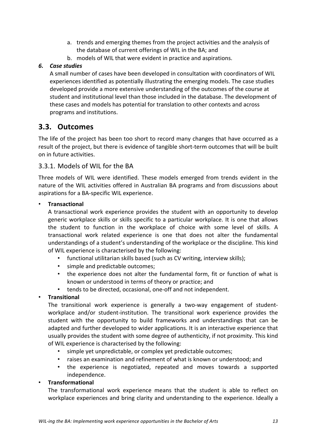- a. trends and emerging themes from the project activities and the analysis of the database of current offerings of WIL in the BA; and
- b. models of WIL that were evident in practice and aspirations.

#### *6. Case studies*

A small number of cases have been developed in consultation with coordinators of WIL experiences identified as potentially illustrating the emerging models. The case studies developed provide a more extensive understanding of the outcomes of the course at student and institutional level than those included in the database. The development of these cases and models has potential for translation to other contexts and across programs and institutions.

### **3.3. Outcomes**

The life of the project has been too short to record many changes that have occurred as a result of the project, but there is evidence of tangible short-term outcomes that will be built on in future activities. 

#### 3.3.1. Models of WIL for the BA

Three models of WIL were identified. These models emerged from trends evident in the nature of the WIL activities offered in Australian BA programs and from discussions about aspirations for a BA-specific WIL experience.

#### • **Transactional**

A transactional work experience provides the student with an opportunity to develop generic workplace skills or skills specific to a particular workplace. It is one that allows the student to function in the workplace of choice with some level of skills. A transactional work related experience is one that does not alter the fundamental understandings of a student's understanding of the workplace or the discipline. This kind of WIL experience is characterised by the following:

- functional utilitarian skills based (such as CV writing, interview skills);
- simple and predictable outcomes:
- the experience does not alter the fundamental form, fit or function of what is known or understood in terms of theory or practice; and
- tends to be directed, occasional, one-off and not independent.

#### • **Transitional**

The transitional work experience is generally a two-way engagement of studentworkplace and/or student-institution. The transitional work experience provides the student with the opportunity to build frameworks and understandings that can be adapted and further developed to wider applications. It is an interactive experience that usually provides the student with some degree of authenticity, if not proximity. This kind of WIL experience is characterised by the following:

- simple yet unpredictable, or complex yet predictable outcomes;
- raises an examination and refinement of what is known or understood; and
- the experience is negotiated, repeated and moves towards a supported independence.

#### • **Transformational**

The transformational work experience means that the student is able to reflect on workplace experiences and bring clarity and understanding to the experience. Ideally a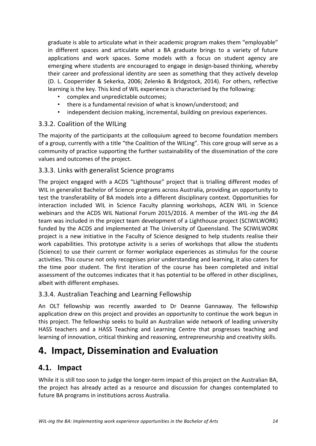graduate is able to articulate what in their academic program makes them "employable" in different spaces and articulate what a BA graduate brings to a variety of future applications and work spaces. Some models with a focus on student agency are emerging where students are encouraged to engage in design-based thinking, whereby their career and professional identity are seen as something that they actively develop (D. L. Cooperrider & Sekerka, 2006; Zelenko & Bridgstock, 2014). For others, reflective learning is the key. This kind of WIL experience is characterised by the following:

- complex and unpredictable outcomes;
- there is a fundamental revision of what is known/understood: and
- independent decision making, incremental, building on previous experiences.

#### 3.3.2. Coalition of the WILing

The majority of the participants at the colloquium agreed to become foundation members of a group, currently with a title "the Coalition of the WILing". This core group will serve as a community of practice supporting the further sustainability of the dissemination of the core values and outcomes of the project.

#### 3.3.3. Links with generalist Science programs

The project engaged with a ACDS "Lighthouse" project that is trialling different modes of WIL in generalist Bachelor of Science programs across Australia, providing an opportunity to test the transferability of BA models into a different disciplinary context. Opportunities for interaction included WIL in Science Faculty planning workshops, ACEN WIL in Science webinars and the ACDS WIL National Forum 2015/2016. A member of the *WIL-ing the BA* team was included in the project team development of a Lighthouse project (SCIWILWORK) funded by the ACDS and implemented at The University of Queensland. The SCIWILWORK project is a new initiative in the Faculty of Science designed to help students realise their work capabilities. This prototype activity is a series of workshops that allow the students (Science) to use their current or former workplace experiences as stimulus for the course activities. This course not only recognises prior understanding and learning, it also caters for the time poor student. The first iteration of the course has been completed and initial assessment of the outcomes indicates that it has potential to be offered in other disciplines, albeit with different emphases.

#### 3.3.4. Australian Teaching and Learning Fellowship

An OLT fellowship was recently awarded to Dr Deanne Gannaway. The fellowship application drew on this project and provides an opportunity to continue the work begun in this project. The fellowship seeks to build an Australian wide network of leading university HASS teachers and a HASS Teaching and Learning Centre that progresses teaching and learning of innovation, critical thinking and reasoning, entrepreneurship and creativity skills.

### **4. Impact, Dissemination and Evaluation**

#### **4.1. Impact**

While it is still too soon to judge the longer-term impact of this project on the Australian BA, the project has already acted as a resource and discussion for changes contemplated to future BA programs in institutions across Australia.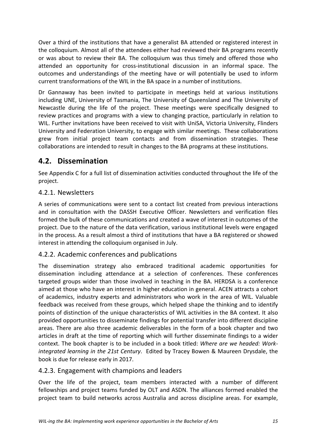Over a third of the institutions that have a generalist BA attended or registered interest in the colloquium. Almost all of the attendees either had reviewed their BA programs recently or was about to review their BA. The colloquium was thus timely and offered those who attended an opportunity for cross-institutional discussion in an informal space. The outcomes and understandings of the meeting have or will potentially be used to inform current transformations of the WIL in the BA space in a number of institutions.

Dr Gannaway has been invited to participate in meetings held at various institutions including UNE, University of Tasmania, The University of Queensland and The University of Newcastle during the life of the project. These meetings were specifically designed to review practices and programs with a view to changing practice, particularly in relation to WIL. Further invitations have been received to visit with UniSA, Victoria University, Flinders University and Federation University, to engage with similar meetings. These collaborations grew from initial project team contacts and from dissemination strategies. These collaborations are intended to result in changes to the BA programs at these institutions.

### **4.2. Dissemination**

See Appendix C for a full list of dissemination activities conducted throughout the life of the project. 

#### 4.2.1. Newsletters

A series of communications were sent to a contact list created from previous interactions and in consultation with the DASSH Executive Officer. Newsletters and verification files formed the bulk of these communications and created a wave of interest in outcomes of the project. Due to the nature of the data verification, various institutional levels were engaged in the process. As a result almost a third of institutions that have a BA registered or showed interest in attending the colloquium organised in July.

#### 4.2.2. Academic conferences and publications

The dissemination strategy also embraced traditional academic opportunities for dissemination including attendance at a selection of conferences. These conferences targeted groups wider than those involved in teaching in the BA. HERDSA is a conference aimed at those who have an interest in higher education in general. ACEN attracts a cohort of academics, industry experts and administrators who work in the area of WIL. Valuable feedback was received from these groups, which helped shape the thinking and to identify points of distinction of the unique characteristics of WIL activities in the BA context. It also provided opportunities to disseminate findings for potential transfer into different discipline areas. There are also three academic deliverables in the form of a book chapter and two articles in draft at the time of reporting which will further disseminate findings to a wider context. The book chapter is to be included in a book titled: Where are we headed: Work*integrated learning in the 21st Century*. Edited by Tracey Bowen & Maureen Drysdale, the book is due for release early in 2017.

#### 4.2.3. Engagement with champions and leaders

Over the life of the project, team members interacted with a number of different fellowships and project teams funded by OLT and ASDN. The alliances formed enabled the project team to build networks across Australia and across discipline areas. For example,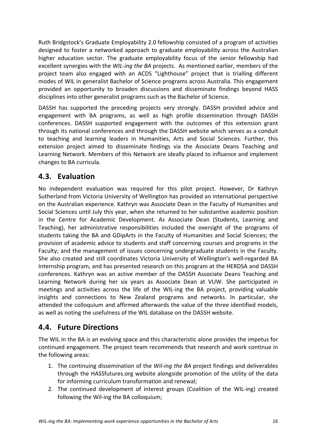Ruth Bridgstock's Graduate Employability 2.0 fellowship consisted of a program of activities designed to foster a networked approach to graduate employability across the Australian higher education sector. The graduate employability focus of the senior fellowship had excellent synergies with the *WIL-ing the BA* projects. As mentioned earlier, members of the proiect team also engaged with an ACDS "Lighthouse" project that is trialling different modes of WIL in generalist Bachelor of Science programs across Australia. This engagement provided an opportunity to broaden discussions and disseminate findings beyond HASS disciplines into other generalist programs such as the Bachelor of Science.

DASSH has supported the preceding projects very strongly. DASSH provided advice and engagement with BA programs, as well as high profile dissemination through DASSH conferences. DASSH supported engagement with the outcomes of this extension grant through its national conferences and through the DASSH website which serves as a conduit to teaching and learning leaders in Humanities, Arts and Social Sciences. Further, this extension project aimed to disseminate findings via the Associate Deans Teaching and Learning Network. Members of this Network are ideally placed to influence and implement changes to BA curricula.

### **4.3. Evaluation**

No independent evaluation was required for this pilot project. However, Dr Kathryn Sutherland from Victoria University of Wellington has provided an international perspective on the Australian experience. Kathryn was Associate Dean in the Faculty of Humanities and Social Sciences until July this year, when she returned to her substantive academic position in the Centre for Academic Development. As Associate Dean (Students, Learning and Teaching), her administrative responsibilities included the oversight of the programs of students taking the BA and GDipArts in the Faculty of Humanities and Social Sciences; the provision of academic advice to students and staff concerning courses and programs in the Faculty; and the management of issues concerning undergraduate students in the Faculty. She also created and still coordinates Victoria University of Wellington's well-regarded BA Internship program, and has presented research on this program at the HERDSA and DASSH conferences. Kathryn was an active member of the DASSH Associate Deans Teaching and Learning Network during her six years as Associate Dean at VUW. She participated in meetings and activities across the life of the WIL-ing the BA project, providing valuable insights and connections to New Zealand programs and networks. In particular, she attended the colloquium and affirmed afterwards the value of the three identified models. as well as noting the usefulness of the WIL database on the DASSH website.

### **4.4. Future Directions**

The WIL in the BA is an evolving space and this characteristic alone provides the impetus for continued engagement. The project team recommends that research and work continue in the following areas:

- 1. The continuing dissemination of the *Wil-ing the BA* project findings and deliverables through the HASSfutures.org website alongside promotion of the utility of the data for informing curriculum transformation and renewal;
- 2. The continued development of interest groups (Coalition of the WIL-ing) created following the Wil-ing the BA colloquium;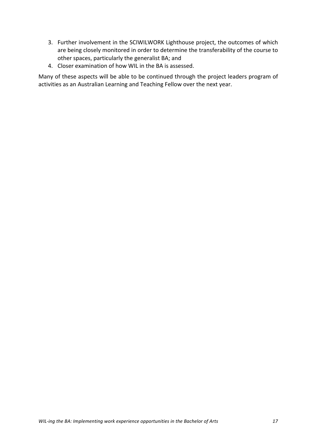- 3. Further involvement in the SCIWILWORK Lighthouse project, the outcomes of which are being closely monitored in order to determine the transferability of the course to other spaces, particularly the generalist BA; and
- 4. Closer examination of how WIL in the BA is assessed.

Many of these aspects will be able to be continued through the project leaders program of activities as an Australian Learning and Teaching Fellow over the next year.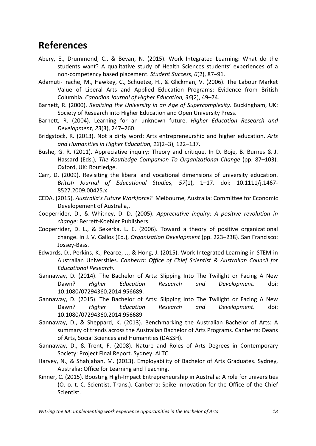### **References**

- Abery, E., Drummond, C., & Bevan, N. (2015). Work Integrated Learning: What do the students want? A qualitative study of Health Sciences students' experiences of a non-competency based placement. Student Success, 6(2), 87-91.
- Adamuti-Trache, M., Hawkey, C., Schuetze, H., & Glickman, V. (2006). The Labour Market Value of Liberal Arts and Applied Education Programs: Evidence from British Columbia. *Canadian Journal of Higher Education, 36*(2), 49-74.
- Barnett, R. (2000). *Realizing the University in an Age of Supercomplexity*. Buckingham, UK: Society of Research into Higher Education and Open University Press.
- Barnett, R. (2004). Learning for an unknown future. *Higher Education Research and Development, 23*(3), 247–260.
- Bridgstock, R. (2013). Not a dirty word: Arts entrepreneurship and higher education. Arts and Humanities in Higher Education, 12(2–3), 122–137.
- Bushe, G. R. (2011). Appreciative inquiry: Theory and critique. In D. Boje, B. Burnes & J. Hassard (Eds.), The Routledge Companion To Organizational Change (pp. 87-103). Oxford, UK: Routledge.
- Carr, D. (2009). Revisiting the liberal and vocational dimensions of university education. *British Journal of Educational Studies, 57*(1), 1–17. doi: 10.1111/j.1467- 8527.2009.00425.x
- CEDA. (2015). Australia's Future Workforce? Melbourne, Australia: Committee for Economic Developement of Australia,.
- Cooperrider, D., & Whitney, D. D. (2005). Appreciative inquiry: A positive revolution in *change*: Berrett-Koehler Publishers.
- Cooperrider, D. L., & Sekerka, L. E. (2006). Toward a theory of positive organizational change. In J. V. Gallos (Ed.), *Organization Development* (pp. 223–238). San Francisco: Jossey-Bass.
- Edwards, D., Perkins, K., Pearce, J., & Hong, J. (2015). Work Integrated Learning in STEM in Australian Universities. *Canberra: Office of Chief Scientist & Australian Council for Educational Research*.
- Gannaway, D. (2014). The Bachelor of Arts: Slipping Into The Twilight or Facing A New Dawn? Higher Education Research and Development. doi: 10.1080/07294360.2014.956689.
- Gannaway, D. (2015). The Bachelor of Arts: Slipping Into The Twilight or Facing A New Dawn? Higher Education Research and Development. doi: 10.1080/07294360.2014.956689
- Gannaway, D., & Sheppard, K. (2013). Benchmarking the Australian Bachelor of Arts: A summary of trends across the Australian Bachelor of Arts Programs. Canberra: Deans of Arts, Social Sciences and Humanities (DASSH).
- Gannaway, D., & Trent, F. (2008). Nature and Roles of Arts Degrees in Contemporary Society: Project Final Report. Sydney: ALTC.
- Harvey, N., & Shahjahan, M. (2013). Employability of Bachelor of Arts Graduates. Sydney, Australia: Office for Learning and Teaching.
- Kinner, C. (2015). Boosting High-Impact Entrepreneurship in Australia: A role for universities (O. o. t. C. Scientist, Trans.). Canberra: Spike Innovation for the Office of the Chief Scientist.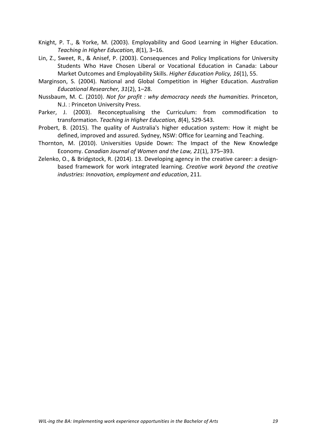- Knight, P. T., & Yorke, M. (2003). Employability and Good Learning in Higher Education. Teaching in Higher Education, 8(1), 3-16.
- Lin, Z., Sweet, R., & Anisef, P. (2003). Consequences and Policy Implications for University Students Who Have Chosen Liberal or Vocational Education in Canada: Labour Market Outcomes and Employability Skills. *Higher Education Policy, 16*(1), 55.
- Marginson, S. (2004). National and Global Competition in Higher Education. Australian *Educational Researcher, 31*(2), 1–28.
- Nussbaum, M. C. (2010). *Not for profit : why democracy needs the humanities*. Princeton, N.J.: Princeton University Press.
- Parker, J. (2003). Reconceptualising the Curriculum: from commodification to transformation. *Teaching in Higher Education, 8*(4), 529-543.
- Probert, B. (2015). The quality of Australia's higher education system: How it might be defined, improved and assured. Sydney, NSW: Office for Learning and Teaching.
- Thornton, M. (2010). Universities Upside Down: The Impact of the New Knowledge Economy. *Canadian Journal of Women and the Law, 21*(1), 375–393.
- Zelenko, O., & Bridgstock, R. (2014). 13. Developing agency in the creative career: a designbased framework for work integrated learning. *Creative work beyond the creative* industries: Innovation, employment and education, 211.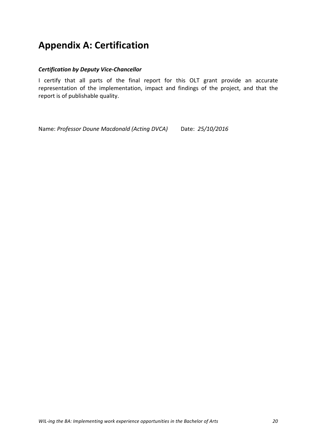## **Appendix A: Certification**

#### *Certification by Deputy Vice-Chancellor*

I certify that all parts of the final report for this OLT grant provide an accurate representation of the implementation, impact and findings of the project, and that the report is of publishable quality.

Name: Professor Doune Macdonald (Acting DVCA) Date: 25/10/2016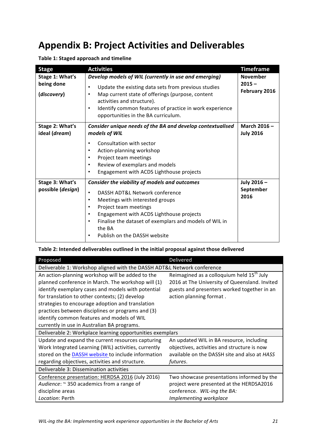## **Appendix B: Project Activities and Deliverables**

| <b>Stage</b>                         | <b>Activities</b>                                                                                                                                                                                                                                                                                                                                            | <b>Timeframe</b>                 |
|--------------------------------------|--------------------------------------------------------------------------------------------------------------------------------------------------------------------------------------------------------------------------------------------------------------------------------------------------------------------------------------------------------------|----------------------------------|
| Stage 1: What's                      | Develop models of WIL (currently in use and emerging)                                                                                                                                                                                                                                                                                                        | <b>November</b>                  |
| being done<br>(discovery)            | Update the existing data sets from previous studies<br>$\bullet$<br>Map current state of offerings (purpose, content<br>$\bullet$<br>activities and structure).<br>Identify common features of practice in work experience<br>$\bullet$<br>opportunities in the BA curriculum.                                                                               | $2015 -$<br>February 2016        |
| Stage 2: What's<br>ideal (dream)     | Consider unique needs of the BA and develop contextualised<br>models of WIL                                                                                                                                                                                                                                                                                  | March 2016-<br><b>July 2016</b>  |
|                                      | Consultation with sector<br>$\bullet$<br>Action-planning workshop<br>$\bullet$<br>Project team meetings<br>$\bullet$<br>Review of exemplars and models<br>$\bullet$<br>Engagement with ACDS Lighthouse projects<br>$\bullet$                                                                                                                                 |                                  |
| Stage 3: What's<br>possible (design) | Consider the viability of models and outcomes<br>DASSH ADT&L Network conference<br>$\bullet$<br>Meetings with interested groups<br>$\bullet$<br>Project team meetings<br>$\bullet$<br>Engagement with ACDS Lighthouse projects<br>$\bullet$<br>Finalise the dataset of exemplars and models of WIL in<br>$\bullet$<br>the BA<br>Publish on the DASSH website | July 2016 -<br>September<br>2016 |

**Table 1: Staged approach and timeline** 

#### Table 2: Intended deliverables outlined in the initial proposal against those delivered

| Proposed                                                                | Delivered                                             |
|-------------------------------------------------------------------------|-------------------------------------------------------|
| Deliverable 1: Workshop aligned with the DASSH ADT&L Network conference |                                                       |
| An action-planning workshop will be added to the                        | Reimagined as a colloquium held 15 <sup>th</sup> July |
| planned conference in March. The workshop will (1)                      | 2016 at The University of Queensland. Invited         |
| identify exemplary cases and models with potential                      | guests and presenters worked together in an           |
| for translation to other contexts; (2) develop                          | action planning format.                               |
| strategies to encourage adoption and translation                        |                                                       |
| practices between disciplines or programs and (3)                       |                                                       |
| identify common features and models of WIL                              |                                                       |
| currently in use in Australian BA programs.                             |                                                       |
| Deliverable 2: Workplace learning opportunities exemplars               |                                                       |
| Update and expand the current resources capturing                       | An updated WIL in BA resource, including              |
| Work Integrated Learning (WIL) activities, currently                    | objectives, activities and structure is now           |
| stored on the DASSH website to include information                      | available on the DASSH site and also at HASS          |
| regarding objectives, activities and structure.                         | futures.                                              |
| Deliverable 3: Dissemination activities                                 |                                                       |
| Conference presentation: HERDSA 2016 (July 2016)                        | Two showcase presentations informed by the            |
| Audience: ~ 350 academics from a range of                               | project were presented at the HERDSA2016              |
| discipline areas                                                        | conference. WIL-ing the BA:                           |
| Location: Perth                                                         | Implementing workplace                                |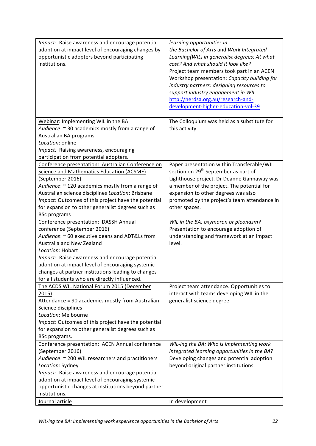| Impact: Raise awareness and encourage potential<br>adoption at impact level of encouraging changes by<br>opportunistic adopters beyond participating<br>institutions.                                                                                                                                                                                                                                    | learning opportunities in<br>the Bachelor of Arts and Work Integrated<br>Learning(WIL) in generalist degrees: At what<br>cost? And what should it look like?<br>Project team members took part in an ACEN<br>Workshop presentation: Capacity building for<br>industry partners: designing resources to<br>support industry engagement in WIL<br>http://herdsa.org.au/research-and-<br>development-higher-education-vol-39 |
|----------------------------------------------------------------------------------------------------------------------------------------------------------------------------------------------------------------------------------------------------------------------------------------------------------------------------------------------------------------------------------------------------------|---------------------------------------------------------------------------------------------------------------------------------------------------------------------------------------------------------------------------------------------------------------------------------------------------------------------------------------------------------------------------------------------------------------------------|
| Webinar: Implementing WIL in the BA<br>Audience: ~ 30 academics mostly from a range of<br>Australian BA programs<br>Location: online<br>Impact: Raising awareness, encouraging                                                                                                                                                                                                                           | The Colloquium was held as a substitute for<br>this activity.                                                                                                                                                                                                                                                                                                                                                             |
| participation from potential adopters.<br>Conference presentation: Australian Conference on<br>Science and Mathematics Education (ACSME)<br>(September 2016)<br>Audience: ~ 120 academics mostly from a range of<br>Australian science disciplines Location: Brisbane<br>Impact: Outcomes of this project have the potential<br>for expansion to other generalist degrees such as<br><b>BSc programs</b> | Paper presentation within Transferable/WIL<br>section on 29 <sup>th</sup> September as part of<br>Lighthouse project. Dr Deanne Gannaway was<br>a member of the project. The potential for<br>expansion to other degrees was also<br>promoted by the project's team attendance in<br>other spaces.                                                                                                                        |
| Conference presentation: DASSH Annual<br>conference (September 2016)<br>Audience: ~ 60 executive deans and ADT&Ls from<br>Australia and New Zealand<br>Location: Hobart<br>Impact: Raise awareness and encourage potential<br>adoption at impact level of encouraging systemic<br>changes at partner institutions leading to changes<br>for all students who are directly influenced.                    | WIL in the BA: oxymoron or pleonasm?<br>Presentation to encourage adoption of<br>understanding and framework at an impact<br>level.                                                                                                                                                                                                                                                                                       |
| The ACDS WIL National Forum 2015 (December<br>2015)<br>Attendance = 90 academics mostly from Australian<br>Science disciplines<br>Location: Melbourne<br>Impact: Outcomes of this project have the potential<br>for expansion to other generalist degrees such as<br>BSc programs.                                                                                                                       | Project team attendance. Opportunities to<br>interact with teams developing WIL in the<br>generalist science degree.                                                                                                                                                                                                                                                                                                      |
| Conference presentation: ACEN Annual conference<br>(September 2016)<br>Audience: ~ 200 WIL researchers and practitioners<br>Location: Sydney<br>Impact: Raise awareness and encourage potential<br>adoption at impact level of encouraging systemic<br>opportunistic changes at institutions beyond partner<br>institutions.<br>Journal article                                                          | WIL-ing the BA: Who is implementing work<br>integrated learning opportunities in the BA?<br>Developing changes and potential adoption<br>beyond original partner institutions.<br>In development                                                                                                                                                                                                                          |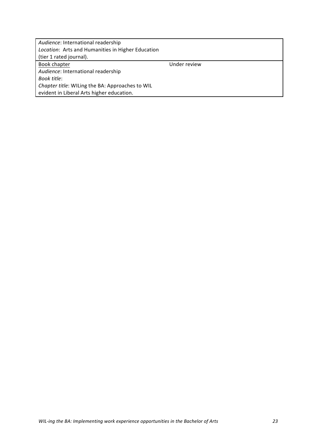| Audience: International readership<br>Location: Arts and Humanities in Higher Education |              |  |  |
|-----------------------------------------------------------------------------------------|--------------|--|--|
| (tier 1 rated journal).                                                                 |              |  |  |
| Book chapter                                                                            | Under review |  |  |
| Audience: International readership                                                      |              |  |  |
| Book title:                                                                             |              |  |  |
| Chapter title: WILing the BA: Approaches to WIL                                         |              |  |  |
| evident in Liberal Arts higher education.                                               |              |  |  |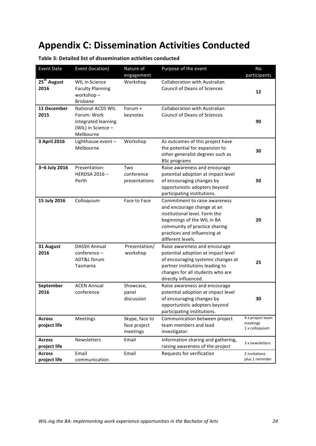## **Appendix C: Dissemination Activities Conducted**

| <b>Event Date</b>               | Event (location)                                                                                  | Nature of                                  | Purpose of the event                                                                                                                                                                                              | No                                             |
|---------------------------------|---------------------------------------------------------------------------------------------------|--------------------------------------------|-------------------------------------------------------------------------------------------------------------------------------------------------------------------------------------------------------------------|------------------------------------------------|
|                                 |                                                                                                   | engagement                                 |                                                                                                                                                                                                                   | participants                                   |
| 25 <sup>th</sup> August<br>2016 | <b>WIL in Science</b><br><b>Faculty Planning</b><br>workshop-<br><b>Brisbane</b>                  | Workshop                                   | <b>Collaboration with Australian</b><br><b>Council of Deans of Sciences</b>                                                                                                                                       | 12                                             |
| 11 December<br>2015             | <b>National ACDS WIL</b><br>Forum: Work<br>integrated learning<br>(WIL) in Science -<br>Melbourne | Forum $+$<br>keynotes                      | <b>Collaboration with Australian</b><br><b>Council of Deans of Sciences</b>                                                                                                                                       | 90                                             |
| 3 April 2016                    | Lighthouse event -<br>Melbourne                                                                   | Workshop                                   | As outcomes of this project have<br>the potential for expansion to<br>other generalist degrees such as<br><b>BSc programs</b>                                                                                     | 30                                             |
| 3-6 July 2016                   | Presentation:<br><b>HERDSA 2016-</b><br>Perth                                                     | Two<br>conference<br>presentations         | Raise awareness and encourage<br>potential adoption at impact level<br>of encouraging changes by<br>opportunistic adopters beyond<br>participating institutions.                                                  | 50                                             |
| 15 July 2016                    | Colloquium                                                                                        | Face to Face                               | Commitment to raise awareness<br>and encourage change at an<br>institutional level. Form the<br>beginnings of the WIL in BA<br>community of practice sharing<br>practices and influencing at<br>different levels. | 20                                             |
| 31 August<br>2016               | <b>DASSH Annual</b><br>conference –<br>ADT&L forum<br>Tasmania                                    | Presentation/<br>workshop                  | Raise awareness and encourage<br>potential adoption at impact level<br>of encouraging systemic changes at<br>partner institutions leading to<br>changes for all students who are<br>directly influenced.          | 25                                             |
| September<br>2016               | <b>ACEN Annual</b><br>conference                                                                  | Showcase,<br>panel<br>discussion           | Raise awareness and encourage<br>potential adoption at impact level<br>of encouraging changes by<br>opportunistic adopters beyond<br>participating institutions.                                                  | 30                                             |
| <b>Across</b><br>project life   | Meetings                                                                                          | Skype, face to<br>face project<br>meetings | Communication between project<br>team members and lead<br>investigator.                                                                                                                                           | 4 x project team<br>meetings<br>1 x colloquium |
| <b>Across</b><br>project life   | Newsletters                                                                                       | Email                                      | Information sharing and gathering,<br>raising awareness of the project                                                                                                                                            | 3 x newsletters                                |
| <b>Across</b><br>project life   | Email<br>communication                                                                            | Email                                      | Requests for verification                                                                                                                                                                                         | 2 invitations<br>plus 1 reminder               |

**Table 3: Detailed list of dissemination activities conducted**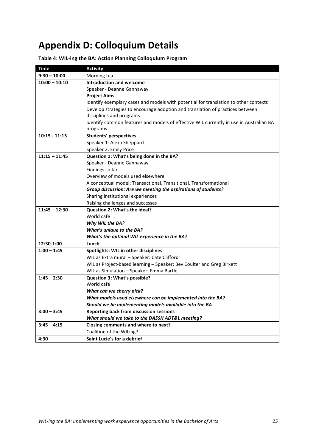## **Appendix D: Colloquium Details**

#### Table 4: WIL-ing the BA: Action Planning Colloquium Program

| <b>Time</b>     | <b>Activity</b>                                                                        |  |  |
|-----------------|----------------------------------------------------------------------------------------|--|--|
| $9:30 - 10:00$  | Morning tea                                                                            |  |  |
| $10:00 - 10:10$ | <b>Introduction and welcome</b>                                                        |  |  |
|                 | Speaker - Deanne Gannaway                                                              |  |  |
|                 | <b>Project Aims</b>                                                                    |  |  |
|                 | Identify exemplary cases and models with potential for translation to other contexts   |  |  |
|                 | Develop strategies to encourage adoption and translation of practices between          |  |  |
|                 | disciplines and programs                                                               |  |  |
|                 | Identify common features and models of effective WIL currently in use in Australian BA |  |  |
|                 | programs                                                                               |  |  |
| $10:15 - 11:15$ | <b>Students' perspectives</b>                                                          |  |  |
|                 | Speaker 1: Alexa Sheppard                                                              |  |  |
|                 | Speaker 2: Emily Price                                                                 |  |  |
| $11:15 - 11:45$ | Question 1: What's being done in the BA?                                               |  |  |
|                 | Speaker - Deanne Gannaway                                                              |  |  |
|                 | Findings so far                                                                        |  |  |
|                 | Overview of models used elsewhere                                                      |  |  |
|                 | A conceptual model: Transactional, Transitional, Transformational                      |  |  |
|                 | Group discussion: Are we meeting the aspirations of students?                          |  |  |
|                 | Sharing institutional experiences                                                      |  |  |
|                 | Raising challenges and successes                                                       |  |  |
| $11:45 - 12:30$ | Question 2: What's the ideal?                                                          |  |  |
|                 | World café                                                                             |  |  |
|                 | Why WIL the BA?                                                                        |  |  |
|                 | What's unique to the BA?                                                               |  |  |
|                 | What's the optimal WIL experience in the BA?                                           |  |  |
| 12:30-1:00      | Lunch                                                                                  |  |  |
| $1:00 - 1:45$   | Spotlights: WIL in other disciplines                                                   |  |  |
|                 | WIL as Extra mural - Speaker: Cate Clifford                                            |  |  |
|                 | WIL as Project-based learning - Speaker: Bev Coulter and Greg Birkett                  |  |  |
|                 | WIL as Simulation - Speaker: Emma Bartle                                               |  |  |
| $1:45 - 2:30$   | Question 3: What's possible?                                                           |  |  |
|                 | World café                                                                             |  |  |
|                 | What can we cherry pick?                                                               |  |  |
|                 | What models used elsewhere can be implemented into the BA?                             |  |  |
|                 | Should we be implementing models available into the BA                                 |  |  |
| $3:00 - 3:45$   | <b>Reporting back from discussion sessions</b>                                         |  |  |
|                 | What should we take to the DASSH ADT&L meeting?                                        |  |  |
| $3:45 - 4:15$   | Closing comments and where to next?                                                    |  |  |
|                 | Coalition of the WILing?                                                               |  |  |
| 4:30            | Saint Lucie's for a debrief                                                            |  |  |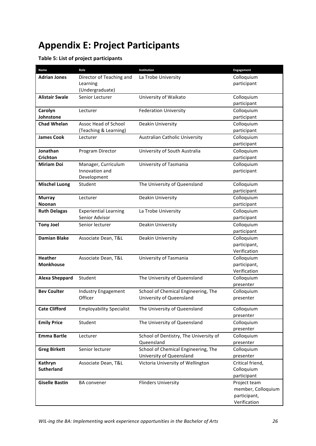# **Appendix E: Project Participants**

#### **Table 5: List of project participants**

| Name                  | Role                                  | Institution                            | Engagement                   |
|-----------------------|---------------------------------------|----------------------------------------|------------------------------|
| <b>Adrian Jones</b>   | Director of Teaching and              | La Trobe University                    | Colloquium                   |
|                       | Learning                              |                                        | participant                  |
|                       | (Undergraduate)                       |                                        |                              |
| <b>Alistair Swale</b> | Senior Lecturer                       | University of Waikato                  | Colloquium                   |
|                       |                                       |                                        | participant                  |
| Carolyn               | Lecturer                              | <b>Federation University</b>           | Colloquium                   |
| Johnstone             |                                       |                                        | participant                  |
| <b>Chad Whelan</b>    | Assoc Head of School                  | Deakin University                      | Colloquium                   |
|                       | (Teaching & Learning)                 |                                        | participant                  |
| <b>James Cook</b>     | Lecturer                              | Australian Catholic University         | Colloquium                   |
|                       |                                       |                                        | participant                  |
| Jonathan              | Program Director                      | University of South Australia          | Colloquium                   |
| <b>Crichton</b>       |                                       |                                        | participant                  |
| <b>Miriam Doi</b>     | Manager, Curriculum                   | University of Tasmania                 | Colloquium                   |
|                       | Innovation and                        |                                        | participant                  |
|                       | Development                           |                                        |                              |
| <b>Mischel Luong</b>  | Student                               | The University of Queensland           | Colloquium                   |
|                       |                                       |                                        | participant                  |
| <b>Murray</b>         | Lecturer                              | Deakin University                      | Colloquium                   |
| <b>Noonan</b>         |                                       |                                        | participant                  |
| <b>Ruth Delagas</b>   | <b>Experiential Learning</b>          | La Trobe University                    | Colloquium                   |
|                       | Senior Advisor                        |                                        | participant                  |
| <b>Tony Joel</b>      | Senior lecturer                       | Deakin University                      | Colloquium                   |
|                       |                                       |                                        | participant                  |
| <b>Damian Blake</b>   | Associate Dean, T&L                   | Deakin University                      | Colloquium                   |
|                       |                                       |                                        | participant,                 |
|                       |                                       |                                        | Verification                 |
| <b>Heather</b>        | Associate Dean, T&L                   | University of Tasmania                 | Colloquium                   |
| <b>Monkhouse</b>      |                                       |                                        | participant,<br>Verification |
|                       | Student                               |                                        |                              |
| <b>Alexa Sheppard</b> |                                       | The University of Queensland           | Colloquium<br>presenter      |
| <b>Bev Coulter</b>    |                                       | School of Chemical Engineering, The    | Colloquium                   |
|                       | <b>Industry Engagement</b><br>Officer | University of Queensland               | presenter                    |
|                       |                                       |                                        |                              |
| <b>Cate Clifford</b>  | <b>Employability Specialist</b>       | The University of Queensland           | Colloquium                   |
|                       |                                       |                                        | presenter                    |
| <b>Emily Price</b>    | Student                               | The University of Queensland           | Colloquium                   |
|                       |                                       |                                        | presenter                    |
| <b>Emma Bartle</b>    | Lecturer                              | School of Dentistry, The University of | Colloquium                   |
|                       |                                       | Queensland                             | presenter                    |
| <b>Greg Birkett</b>   | Senior lecturer                       | School of Chemical Engineering, The    | Colloquium                   |
|                       |                                       | University of Queensland               | presenter                    |
| Kathryn               | Associate Dean, T&L                   | Victoria University of Wellington      | Critical friend,             |
| <b>Sutherland</b>     |                                       |                                        | Colloquium                   |
|                       |                                       |                                        | participant                  |
| <b>Giselle Bastin</b> | <b>BA</b> convener                    | <b>Flinders University</b>             | Project team                 |
|                       |                                       |                                        | member, Colloquium           |
|                       |                                       |                                        | participant,                 |
|                       |                                       |                                        | Verification                 |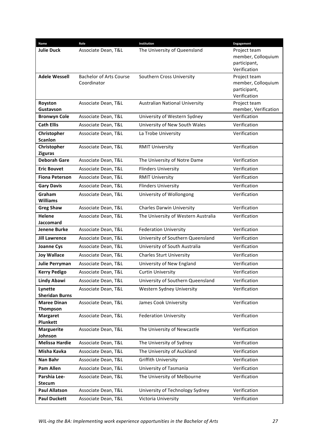| Name                        | Role                           | Institution                           | Engagement                   |
|-----------------------------|--------------------------------|---------------------------------------|------------------------------|
| <b>Julie Duck</b>           | Associate Dean, T&L            | The University of Queensland          | Project team                 |
|                             |                                |                                       | member, Colloquium           |
|                             |                                |                                       | participant,                 |
|                             |                                |                                       | Verification                 |
| <b>Adele Wessell</b>        | <b>Bachelor of Arts Course</b> | Southern Cross University             | Project team                 |
|                             | Coordinator                    |                                       | member, Colloquium           |
|                             |                                |                                       | participant,<br>Verification |
| Royston                     | Associate Dean, T&L            | <b>Australian National University</b> | Project team                 |
| Gustavson                   |                                |                                       | member, Verification         |
| <b>Bronwyn Cole</b>         | Associate Dean, T&L            | University of Western Sydney          | Verification                 |
| <b>Cath Ellis</b>           | Associate Dean, T&L            | University of New South Wales         | Verification                 |
| Christopher                 | Associate Dean, T&L            | La Trobe University                   | Verification                 |
| <b>Scanlon</b>              |                                |                                       |                              |
| Christopher                 | Associate Dean, T&L            | <b>RMIT University</b>                | Verification                 |
| <b>Ziguras</b>              |                                |                                       |                              |
| <b>Deborah Gare</b>         | Associate Dean, T&L            | The University of Notre Dame          | Verification                 |
| <b>Eric Bouvet</b>          | Associate Dean, T&L            | <b>Flinders University</b>            | Verification                 |
| <b>Fiona Peterson</b>       | Associate Dean, T&L            | <b>RMIT University</b>                | Verification                 |
| <b>Gary Davis</b>           | Associate Dean, T&L            | <b>Flinders University</b>            | Verification                 |
| Graham                      | Associate Dean, T&L            | University of Wollongong              | Verification                 |
| <b>Williams</b>             |                                |                                       |                              |
| <b>Greg Shaw</b>            | Associate Dean, T&L            | <b>Charles Darwin University</b>      | Verification                 |
| Helene                      | Associate Dean, T&L            | The University of Western Australia   | Verification                 |
| <b>Jaccomard</b>            |                                |                                       |                              |
| <b>Jenene Burke</b>         | Associate Dean, T&L            | <b>Federation University</b>          | Verification                 |
| <b>Jill Lawrence</b>        | Associate Dean, T&L            | University of Southern Queensland     | Verification                 |
| <b>Joanne Cys</b>           | Associate Dean, T&L            | University of South Australia         | Verification                 |
| <b>Joy Wallace</b>          | Associate Dean, T&L            | <b>Charles Sturt University</b>       | Verification                 |
| <b>Julie Perryman</b>       | Associate Dean, T&L            | University of New England             | Verification                 |
| <b>Kerry Pedigo</b>         | Associate Dean, T&L            | <b>Curtin University</b>              | Verification                 |
| <b>Lindy Abawi</b>          | Associate Dean, T&L            | University of Southern Queensland     | Verification                 |
| Lynette                     | Associate Dean, T&L            | Western Sydney University             | Verification                 |
| <b>Sheridan Burns</b>       |                                |                                       |                              |
| <b>Maree Dinan</b>          | Associate Dean, T&L            | James Cook University                 | Verification                 |
| Thompson                    |                                |                                       |                              |
| <b>Margaret</b><br>Plunkett | Associate Dean, T&L            | <b>Federation University</b>          | Verification                 |
| <b>Marguerite</b>           | Associate Dean, T&L            | The University of Newcastle           | Verification                 |
| Johnson                     |                                |                                       |                              |
| <b>Melissa Hardie</b>       | Associate Dean, T&L            | The University of Sydney              | Verification                 |
| Misha Kavka                 | Associate Dean, T&L            | The University of Auckland            | Verification                 |
| Nan Bahr                    | Associate Dean, T&L            | <b>Griffith University</b>            | Verification                 |
| <b>Pam Allen</b>            | Associate Dean, T&L            | University of Tasmania                | Verification                 |
| Parshia Lee-                | Associate Dean, T&L            | The University of Melbourne           | Verification                 |
| <b>Stecum</b>               |                                |                                       |                              |
| <b>Paul Allatson</b>        | Associate Dean, T&L            | University of Technology Sydney       | Verification                 |
| <b>Paul Duckett</b>         | Associate Dean, T&L            | Victoria University                   | Verification                 |